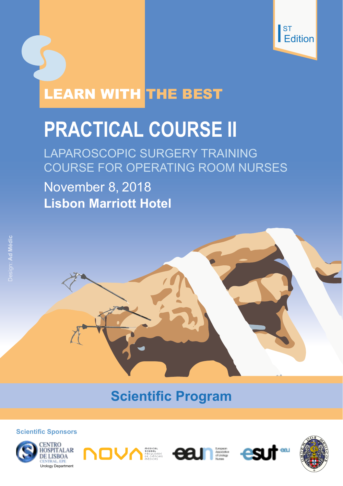

## LEARN WITH THE BEST

# **PRACTICAL COURSE II**

LAPAROSCOPIC SURGERY TRAINING COURSE FOR OPERATING ROOM NURSES

November 8, 2018 **Lisbon Marriott Hotel**

## **Scientific Program**











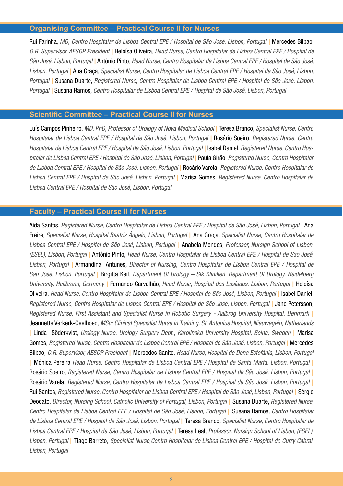#### **Organising Committee – Practical Course II for Nurses**

Rui Farinha*, MD, Centro Hospitalar de Lisboa Central EPE / Hospital de São José, Lisbon, Portugal* | Mercedes Bilbao*, O.R. Supervisor, AESOP President* | Heloísa Oliveira*, Head Nurse, Centro Hospitalar de Lisboa Central EPE / Hospital de São José, Lisbon, Portugal* | António Pinto*, Head Nurse, Centro Hospitalar de Lisboa Central EPE / Hospital de São José, Lisbon, Portugal* | Ana Graça, *Specialist Nurse, Centro Hospitalar de Lisboa Central EPE / Hospital de São José, Lisbon, Portugal* | Susana Duarte, *Registered Nurse, Centro Hospitalar de Lisboa Central EPE / Hospital de São José, Lisbon, Portugal* | Susana Ramos*, Centro Hospitalar de Lisboa Central EPE / Hospital de São José, Lisbon, Portugal*

#### **Scientific Committee – Practical Course II for Nurses**

Luís Campos Pinheiro*, MD, PhD, Professor of Urology of Nova Medical School* | Teresa Branco, *Specialist Nurse, Centro Hospitalar de Lisboa Central EPE / Hospital de São José, Lisbon, Portugal* | Rosário Soeiro, *Registered Nurse, Centro Hospitalar de Lisboa Central EPE / Hospital de São José, Lisbon, Portugal* | Isabel Daniel, *Registered Nurse, Centro Hospitalar de Lisboa Central EPE / Hospital de São José, Lisbon, Portugal* | Paula Girão, *Registered Nurse, Centro Hospitalar de Lisboa Central EPE / Hospital de São José, Lisbon, Portugal* | Rosário Varela, *Registered Nurse, Centro Hospitalar de Lisboa Central EPE / Hospital de São José, Lisbon, Portugal* | Marisa Gomes*, Registered Nurse, Centro Hospitalar de Lisboa Central EPE / Hospital de São José, Lisbon, Portugal*

#### **Faculty – Practical Course II for Nurses**

Aida Santos, *Registered Nurse, Centro Hospitalar de Lisboa Central EPE / Hospital de São José, Lisbon, Portugal* | Ana Freire*, Specialist Nurse, Hospital Beatriz Ângelo, Lisbon, Portugal* | Ana Graça*, Specialist Nurse, Centro Hospitalar de Lisboa Central EPE / Hospital de São José, Lisbon, Portugal* | Anabela Mendes*, Professor, Nursign School of Lisbon, (ESEL), Lisbon, Portugal* | António Pinto, *Head Nurse, Centro Hospitalar de Lisboa Central EPE / Hospital de São José, Lisbon, Portugal* | Armandina Antunes*, Director of Nursing, Centro Hospitalar de Lisboa Central EPE / Hospital de São José, Lisbon, Portugal* | Birgitta Keil*, Department Of Urology – Slk Kliniken, Department Of Urology, Heidelberg University, Heilbronn, Germany* | Fernando Carvalhão*, Head Nurse, Hospital dos Lusíadas, Lisbon, Portugal* | Heloísa Oliveira*, Head Nurse, Centro Hospitalar de Lisboa Central EPE / Hospital de São José, Lisbon, Portugal* | Isabel Daniel, *Registered Nurse, Centro Hospitalar de Lisboa Central EPE / Hospital de São José, Lisbon, Portugal* | Jane Petersson*, Registered Nurse, First Assistant and Specialist Nurse in Robotic Surgery - Aalbrog University Hospital, Denmark* | Jeannette Verkerk-Geelhoed*, MSc; Clinical Specialist Nurse in Training, St. Antonius Hospital, Nieuwegein, Netherlands* | Linda Söderkvist*, Urology Nurse, Urology Surgery Dept., Karolinska University Hospital, Solna, Sweden* | Marisa Gomes*, Registered Nurse, Centro Hospitalar de Lisboa Central EPE / Hospital de São José, Lisbon, Portugal* | Mercedes Bilbao*, O.R. Supervisor, AESOP President* | Mercedes Ganito*, Head Nurse, Hospital de Dona Estefânia, Lisbon, Portugal* | Mónica Pereira *Head Nurse, Centro Hospitalar de Lisboa Central EPE / Hospital de Santa Marta, Lisbon, Portugal* | Rosário Soeiro, *Registered Nurse, Centro Hospitalar de Lisboa Central EPE / Hospital de São José, Lisbon, Portugal* | Rosário Varela, *Registered Nurse, Centro Hospitalar de Lisboa Central EPE / Hospital de São José, Lisbon, Portugal* | Rui Santos*, Registered Nurse, Centro Hospitalar de Lisboa Central EPE / Hospital de São José, Lisbon, Portugal* | Sérgio Deodato*, Director, Nursing School, Catholic University of Portugal, Lisbon, Portugal* | Susana Duarte, *Registered Nurse, Centro Hospitalar de Lisboa Central EPE / Hospital de São José, Lisbon, Portugal* | Susana Ramos*, Centro Hospitalar de Lisboa Central EPE / Hospital de São José, Lisbon, Portugal* | Teresa Branco*, Specialist Nurse, Centro Hospitalar de Lisboa Central EPE / Hospital de São José, Lisbon, Portugal* | Teresa Leal*, Professor, Nursign School of Lisbon, (ESEL), Lisbon, Portugal* | Tiago Barreto*, Specialist Nurse,Centro Hospitalar de Lisboa Central EPE / Hospital de Curry Cabral, Lisbon, Portugal*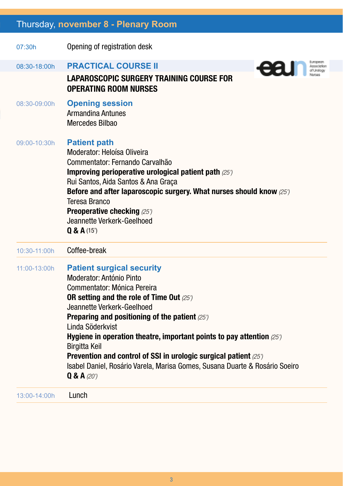| Thursday, november 8 - Plenary Room |  |  |  |  |
|-------------------------------------|--|--|--|--|
|-------------------------------------|--|--|--|--|

| 07:30h           | Opening of registration desk                                                                                                                                                                                                                                                                                                                                                                                                                                                                                            |
|------------------|-------------------------------------------------------------------------------------------------------------------------------------------------------------------------------------------------------------------------------------------------------------------------------------------------------------------------------------------------------------------------------------------------------------------------------------------------------------------------------------------------------------------------|
| $08:30-18:00h$   | <b>PRACTICAL COURSE II</b><br>ez<br><b>LAPAROSCOPIC SURGERY TRAINING COURSE FOR</b><br><b>OPERATING ROOM NURSES</b>                                                                                                                                                                                                                                                                                                                                                                                                     |
| 08:30-09:00h     | <b>Opening session</b><br><b>Armandina Antunes</b><br>Mercedes Bilbao                                                                                                                                                                                                                                                                                                                                                                                                                                                   |
| 09:00-10:30h     | <b>Patient path</b><br>Moderator: Heloísa Oliveira<br>Commentator: Fernando Carvalhão<br><b>Improving perioperative urological patient path (25)</b><br>Rui Santos, Aida Santos & Ana Graça<br>Before and after laparoscopic surgery. What nurses should know (25')<br>Teresa Branco<br><b>Preoperative checking (25)</b><br>Jeannette Verkerk-Geelhoed<br>Q & A (15')                                                                                                                                                  |
| 10:30-11:00h     | Coffee-break                                                                                                                                                                                                                                                                                                                                                                                                                                                                                                            |
| $11:00 - 13:00h$ | <b>Patient surgical security</b><br>Moderator: António Pinto<br>Commentator: Mónica Pereira<br><b>OR setting and the role of Time Out (25)</b><br>Jeannette Verkerk-Geelhoed<br>Preparing and positioning of the patient (25')<br>Linda Söderkvist<br>Hygiene in operation theatre, important points to pay attention $(25)$<br>Birgitta Keil<br><b>Prevention and control of SSI in urologic surgical patient (25)</b><br>Isabel Daniel, Rosário Varela, Marisa Gomes, Susana Duarte & Rosário Soeiro<br>$Q & A$ (20') |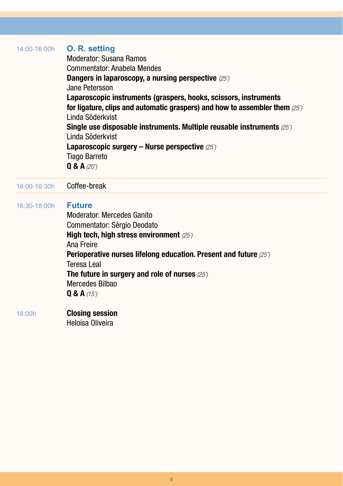| 14:00-16:00h | O. R. setting<br>Moderator: Susana Ramos<br>Commentator: Anabela Mendes<br><b>Dangers in laparoscopy, a nursing perspective (25)</b><br>Jane Petersson<br>Laparoscopic instruments (graspers, hooks, scissors, instruments<br>for ligature, clips and automatic graspers) and how to assembler them (25')<br>Linda Söderkvist<br>Single use disposable instruments. Multiple reusable instruments (25')<br>Linda Söderkvist<br>Laparoscopic surgery – Nurse perspective $(25)$<br><b>Tiago Barreto</b><br>$Q & A$ (20') |
|--------------|-------------------------------------------------------------------------------------------------------------------------------------------------------------------------------------------------------------------------------------------------------------------------------------------------------------------------------------------------------------------------------------------------------------------------------------------------------------------------------------------------------------------------|
| 16:00-16:30h | Coffee-break                                                                                                                                                                                                                                                                                                                                                                                                                                                                                                            |
| 16:30-18:00h | <b>Future</b><br><b>Moderator: Mercedes Ganito</b><br>Commentator: Sérgio Deodato<br>High tech, high stress environment (25')<br>Ana Freire<br><b>Perioperative nurses lifelong education. Present and future (25)</b><br>Teresa Leal<br>The future in surgery and role of nurses $(25)$<br>Mercedes Bilbao<br><b>Q &amp; A</b> $(15)$                                                                                                                                                                                  |
| 18:00h       | <b>Closing session</b><br>Heloísa Oliveira                                                                                                                                                                                                                                                                                                                                                                                                                                                                              |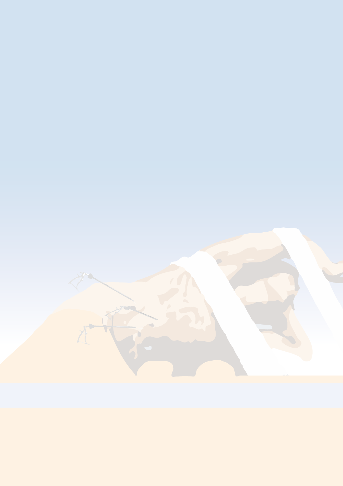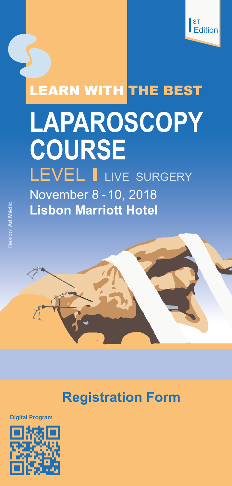

## LEARN WITH THE BEST

# **LAPAROSCOPY COURSE** November 8 - 10, 2018 LEVEL I LIVE SURGERY

**Lisbon Marriott Hotel Digital Program**<br>
Digital Program<br>
Digital Program

### **Registration Form**